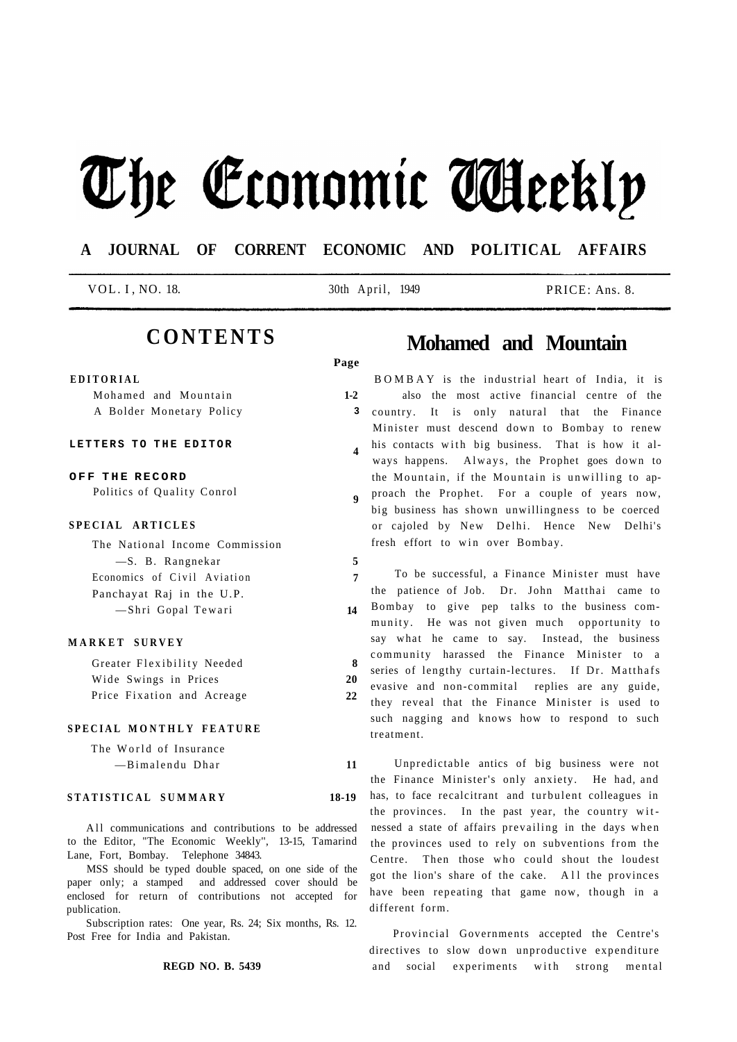# The Economic Aleekly

### **A JOURNAL OF CORRENT ECONOMIC AND POLITICAL AFFAIRS**

**Page** 

**4** 

**5 7** 

**14** 

VOL. I , NO. 18. 30th April, 1949 PRICE: Ans. 8.

## **CONTENTS**

#### **EDITORIA L**

|  | Mohamed and Mountain     |
|--|--------------------------|
|  | A Bolder Monetary Policy |

#### **LETTERS TO THE EDITOR**

**O F F TH E RECORD**  Politics of Quality Conrol

#### **SPECIAL ARTICLES**

| The National Income Commission |
|--------------------------------|
| -S. B. Rangnekar               |
| Economics of Civil Aviation    |
| Panchayat Raj in the U.P.      |
| -Shri Gopal Tewari             |

#### **MARKE T SURVE Y**

| Greater Flexibility Needed | 8  |
|----------------------------|----|
| Wide Swings in Prices      | 20 |
| Price Fixation and Acreage | 22 |

#### **SPECIA L MONTHL Y FEATUR E**

| The World of Insurance |  |
|------------------------|--|
| -Bimalendu Dhar        |  |

#### **STATISTICA L SUMMAR Y 18-19**

All communications and contributions to be addressed to the Editor, "The Economic Weekly'', 13-15, Tamarind Lane, Fort, Bombay. Telephone 34843.

MSS should be typed double spaced, on one side of the paper only; a stamped and addressed cover should be enclosed for return of contributions not accepted for publication.

Subscription rates: One year, Rs. 24; Six months, Rs. 12. Post Free for India and Pakistan.

#### **REGD NO. B. 5439**

## **Mohamed and Mountain**

**1-2 3 9**  BOMBAY is the industrial heart of India, it is also the most active financial centre of the country. It is only natural that the Finance Minister must descend down to Bombay to renew his contacts with big business. That is how it always happens. Always, the Prophet goes down to the Mountain, if the Mountain is unwilling to approach the Prophet. For a couple of years now, big business has shown unwillingness to be coerced or cajoled by New Delhi. Hence New Delhi's fresh effort to win over Bombay.

To be successful, a Finance Minister must have the patience of Job. Dr. John Matthai came to Bombay to give pep talks to the business community. He was not given much opportunity to say what he came to say. Instead, the business community harassed the Finance Minister to a series of lengthy curtain-lectures. If Dr. Matthafs evasive and non-commital replies are any guide, they reveal that the Finance Minister is used to such nagging and knows how to respond to such treatment.

Unpredictable antics of big business were not the Finance Minister's only anxiety. He had, and has, to face recalcitrant and turbulent colleagues in the provinces. In the past year, the country witnessed a state of affairs prevailing in the days when the provinces used to rely on subventions from the Centre. Then those who could shout the loudest got the lion's share of the cake. All the provinces have been repeating that game now, though in a different form.

Provincial Governments accepted the Centre's directives to slow down unproductive expenditure and social experiments with strong mental